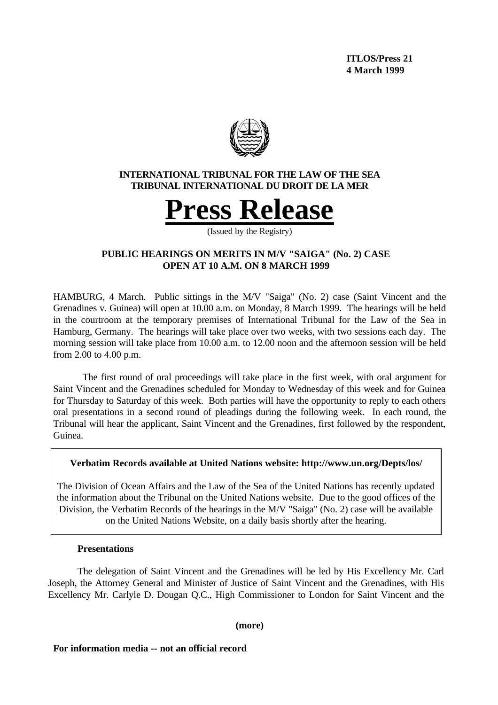**ITLOS/Press 21 4 March 1999**



# **INTERNATIONAL TRIBUNAL FOR THE LAW OF THE SEA TRIBUNAL INTERNATIONAL DU DROIT DE LA MER**



(Issued by the Registry)

# **PUBLIC HEARINGS ON MERITS IN M/V "SAIGA" (No. 2) CASE OPEN AT 10 A.M. ON 8 MARCH 1999**

HAMBURG, 4 March. Public sittings in the M/V "Saiga" (No. 2) case (Saint Vincent and the Grenadines v. Guinea) will open at 10.00 a.m. on Monday, 8 March 1999. The hearings will be held in the courtroom at the temporary premises of International Tribunal for the Law of the Sea in Hamburg, Germany. The hearings will take place over two weeks, with two sessions each day. The morning session will take place from 10.00 a.m. to 12.00 noon and the afternoon session will be held from 2.00 to 4.00 p.m.

The first round of oral proceedings will take place in the first week, with oral argument for Saint Vincent and the Grenadines scheduled for Monday to Wednesday of this week and for Guinea for Thursday to Saturday of this week. Both parties will have the opportunity to reply to each others oral presentations in a second round of pleadings during the following week. In each round, the Tribunal will hear the applicant, Saint Vincent and the Grenadines, first followed by the respondent, Guinea.

### **Verbatim Records available at United Nations website: http://www.un.org/Depts/los/**

The Division of Ocean Affairs and the Law of the Sea of the United Nations has recently updated the information about the Tribunal on the United Nations website. Due to the good offices of the Division, the Verbatim Records of the hearings in the M/V "Saiga" (No. 2) case will be available on the United Nations Website, on a daily basis shortly after the hearing.

### **Presentations**

The delegation of Saint Vincent and the Grenadines will be led by His Excellency Mr. Carl Joseph, the Attorney General and Minister of Justice of Saint Vincent and the Grenadines, with His Excellency Mr. Carlyle D. Dougan Q.C., High Commissioner to London for Saint Vincent and the

**(more)**

#### **For information media -- not an official record**